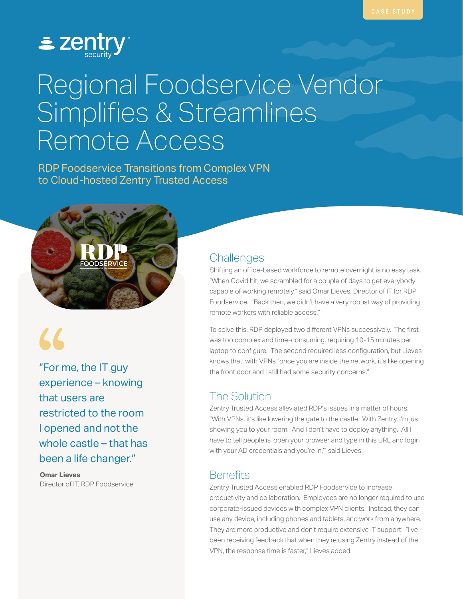

# Regional Foodservice Vendor Simplifies & Streamlines Remote Access

RDP Foodservice Transitions from Complex VPN to Cloud-hosted Zentry Trusted Access



66<br>"For m<br>experi "For me, the IT guy experience – knowing that users are restricted to the room I opened and not the whole castle – that has been a life changer."

**Omar Lieves** Director of IT, RDP Foodservice

#### **Challenges**

Shifting an office-based workforce to remote overnight is no easy task. "When Covid hit, we scrambled for a couple of days to get everybody capable of working remotely," said Omar Lieves, Director of IT for RDP Foodservice. "Back then, we didn't have a very robust way of providing remote workers with reliable access."

To solve this, RDP deployed two different VPNs successively. The first was too complex and time-consuming, requiring 10-15 minutes per laptop to configure. The second required less configuration, but Lieves knows that, with VPNs "once you are inside the network, it's like opening the front door and I still had some security concerns."

# The Solution

Zentry Trusted Access alleviated RDP's issues in a matter of hours. "With VPNs, it's like lowering the gate to the castle. With Zentry, I'm just showing you to your room. And I don't have to deploy anything. All I have to tell people is 'open your browser and type in this URL and login with your AD credentials and you're in," said Lieves.

# **Benefits**

Zentry Trusted Access enabled RDP Foodservice to increase productivity and collaboration. Employees are no longer required to use corporate-issued devices with complex VPN clients. Instead, they can use any device, including phones and tablets, and work from anywhere. They are more productive and don't require extensive IT support. "I've been receiving feedback that when they're using Zentry instead of the VPN, the response time is faster," Lieves added.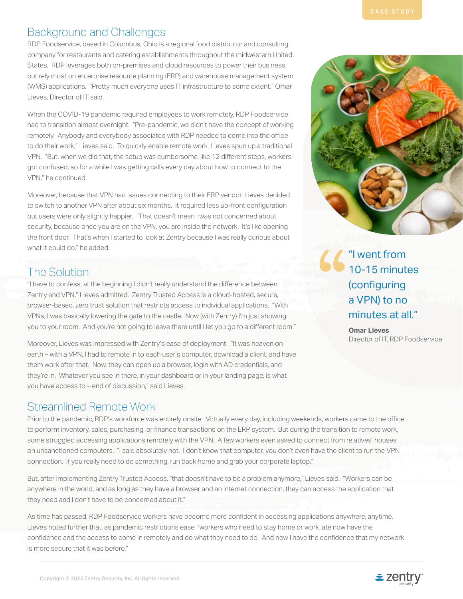# Background and Challenges

RDP Foodservice, based in Columbus, Ohio is a regional food distributor and consulting company for restaurants and catering establishments throughout the midwestern United States. RDP leverages both on-premises and cloud resources to power their business but rely most on enterprise resource planning (ERP) and warehouse management system (WMS) applications. "Pretty much everyone uses IT infrastructure to some extent," Omar Lieves, Director of IT said.

When the COVID-19 pandemic required employees to work remotely, RDP Foodservice had to transition almost overnight. "Pre-pandemic, we didn't have the concept of working remotely. Anybody and everybody associated with RDP needed to come into the office to do their work," Lieves said. To quickly enable remote work, Lieves spun up a traditional VPN. "But, when we did that, the setup was cumbersome, like 12 different steps, workers got confused, so for a while I was getting calls every day about how to connect to the VPN," he continued.

Moreover, because that VPN had issues connecting to their ERP vendor, Lieves decided to switch to another VPN after about six months. It required less up-front configuration but users were only slightly happier. "That doesn't mean I was not concerned about security, because once you are on the VPN, you are inside the network. It's like opening the front door. That's when I started to look at Zentry because I was really curious about what it could do," he added.

# The Solution

"I have to confess, at the beginning I didn't really understand the difference between Zentry and VPN," Lieves admitted. Zentry Trusted Access is a cloud-hosted, secure, browser-based, zero trust solution that restricts access to individual applications. "With VPNs, I was basically lowering the gate to the castle. Now (with Zentry) I'm just showing you to your room. And you're not going to leave there until I let you go to a different room."

Moreover, Lieves was impressed with Zentry's ease of deployment. "It was heaven on earth – with a VPN, I had to remote in to each user's computer, download a client, and have them work after that. Now, they can open up a browser, login with AD credentials, and they're in. Whatever you see in there, in your dashboard or in your landing page, is what you have access to – end of discussion," said Lieves.

### Streamlined Remote Work

Prior to the pandemic, RDP's workforce was entirely onsite. Virtually every day, including weekends, workers came to the office to perform inventory, sales, purchasing, or finance transactions on the ERP system. But during the transition to remote work, some struggled accessing applications remotely with the VPN. A few workers even asked to connect from relatives' houses on unsanctioned computers. "I said absolutely not. I don't know that computer, you don't even have the client to run the VPN connection. If you really need to do something, run back home and grab your corporate laptop."

But, after implementing Zentry Trusted Access, "that doesn't have to be a problem anymore," Lieves said. "Workers can be anywhere in the world, and as long as they have a browser and an internet connection, they can access the application that they need and I don't have to be concerned about it."

As time has passed, RDP Foodservice workers have become more confident in accessing applications anywhere, anytime. Lieves noted further that, as pandemic restrictions ease, "workers who need to stay home or work late now have the confidence and the access to come in remotely and do what they need to do. And now I have the confidence that my network is more secure that it was before."



"I went from 10-15 minutes (configuring a VPN) to no minutes at all." "

> **Omar Lieves** Director of IT, RDP Foodservice